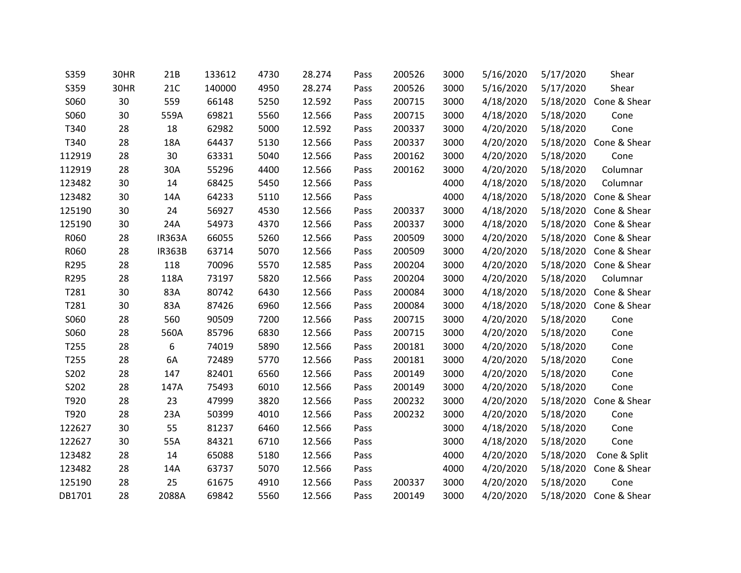| S359   | 30HR | 21B           | 133612 | 4730 | 28.274 | Pass | 200526 | 3000 | 5/16/2020 | 5/17/2020 | Shear                  |
|--------|------|---------------|--------|------|--------|------|--------|------|-----------|-----------|------------------------|
| S359   | 30HR | 21C           | 140000 | 4950 | 28.274 | Pass | 200526 | 3000 | 5/16/2020 | 5/17/2020 | Shear                  |
| S060   | 30   | 559           | 66148  | 5250 | 12.592 | Pass | 200715 | 3000 | 4/18/2020 |           | 5/18/2020 Cone & Shear |
| S060   | 30   | 559A          | 69821  | 5560 | 12.566 | Pass | 200715 | 3000 | 4/18/2020 | 5/18/2020 | Cone                   |
| T340   | 28   | 18            | 62982  | 5000 | 12.592 | Pass | 200337 | 3000 | 4/20/2020 | 5/18/2020 | Cone                   |
| T340   | 28   | 18A           | 64437  | 5130 | 12.566 | Pass | 200337 | 3000 | 4/20/2020 |           | 5/18/2020 Cone & Shear |
| 112919 | 28   | 30            | 63331  | 5040 | 12.566 | Pass | 200162 | 3000 | 4/20/2020 | 5/18/2020 | Cone                   |
| 112919 | 28   | 30A           | 55296  | 4400 | 12.566 | Pass | 200162 | 3000 | 4/20/2020 | 5/18/2020 | Columnar               |
| 123482 | 30   | 14            | 68425  | 5450 | 12.566 | Pass |        | 4000 | 4/18/2020 | 5/18/2020 | Columnar               |
| 123482 | 30   | 14A           | 64233  | 5110 | 12.566 | Pass |        | 4000 | 4/18/2020 |           | 5/18/2020 Cone & Shear |
| 125190 | 30   | 24            | 56927  | 4530 | 12.566 | Pass | 200337 | 3000 | 4/18/2020 |           | 5/18/2020 Cone & Shear |
| 125190 | 30   | 24A           | 54973  | 4370 | 12.566 | Pass | 200337 | 3000 | 4/18/2020 |           | 5/18/2020 Cone & Shear |
| R060   | 28   | <b>IR363A</b> | 66055  | 5260 | 12.566 | Pass | 200509 | 3000 | 4/20/2020 |           | 5/18/2020 Cone & Shear |
| R060   | 28   | <b>IR363B</b> | 63714  | 5070 | 12.566 | Pass | 200509 | 3000 | 4/20/2020 |           | 5/18/2020 Cone & Shear |
| R295   | 28   | 118           | 70096  | 5570 | 12.585 | Pass | 200204 | 3000 | 4/20/2020 |           | 5/18/2020 Cone & Shear |
| R295   | 28   | 118A          | 73197  | 5820 | 12.566 | Pass | 200204 | 3000 | 4/20/2020 | 5/18/2020 | Columnar               |
| T281   | 30   | 83A           | 80742  | 6430 | 12.566 | Pass | 200084 | 3000 | 4/18/2020 |           | 5/18/2020 Cone & Shear |
| T281   | 30   | 83A           | 87426  | 6960 | 12.566 | Pass | 200084 | 3000 | 4/18/2020 |           | 5/18/2020 Cone & Shear |
| S060   | 28   | 560           | 90509  | 7200 | 12.566 | Pass | 200715 | 3000 | 4/20/2020 | 5/18/2020 | Cone                   |
| S060   | 28   | 560A          | 85796  | 6830 | 12.566 | Pass | 200715 | 3000 | 4/20/2020 | 5/18/2020 | Cone                   |
| T255   | 28   | 6             | 74019  | 5890 | 12.566 | Pass | 200181 | 3000 | 4/20/2020 | 5/18/2020 | Cone                   |
| T255   | 28   | 6A            | 72489  | 5770 | 12.566 | Pass | 200181 | 3000 | 4/20/2020 | 5/18/2020 | Cone                   |
| S202   | 28   | 147           | 82401  | 6560 | 12.566 | Pass | 200149 | 3000 | 4/20/2020 | 5/18/2020 | Cone                   |
| S202   | 28   | 147A          | 75493  | 6010 | 12.566 | Pass | 200149 | 3000 | 4/20/2020 | 5/18/2020 | Cone                   |
| T920   | 28   | 23            | 47999  | 3820 | 12.566 | Pass | 200232 | 3000 | 4/20/2020 |           | 5/18/2020 Cone & Shear |
| T920   | 28   | 23A           | 50399  | 4010 | 12.566 | Pass | 200232 | 3000 | 4/20/2020 | 5/18/2020 | Cone                   |
| 122627 | 30   | 55            | 81237  | 6460 | 12.566 | Pass |        | 3000 | 4/18/2020 | 5/18/2020 | Cone                   |
| 122627 | 30   | 55A           | 84321  | 6710 | 12.566 | Pass |        | 3000 | 4/18/2020 | 5/18/2020 | Cone                   |
| 123482 | 28   | 14            | 65088  | 5180 | 12.566 | Pass |        | 4000 | 4/20/2020 | 5/18/2020 | Cone & Split           |
| 123482 | 28   | 14A           | 63737  | 5070 | 12.566 | Pass |        | 4000 | 4/20/2020 | 5/18/2020 | Cone & Shear           |
| 125190 | 28   | 25            | 61675  | 4910 | 12.566 | Pass | 200337 | 3000 | 4/20/2020 | 5/18/2020 | Cone                   |
| DB1701 | 28   | 2088A         | 69842  | 5560 | 12.566 | Pass | 200149 | 3000 | 4/20/2020 |           | 5/18/2020 Cone & Shear |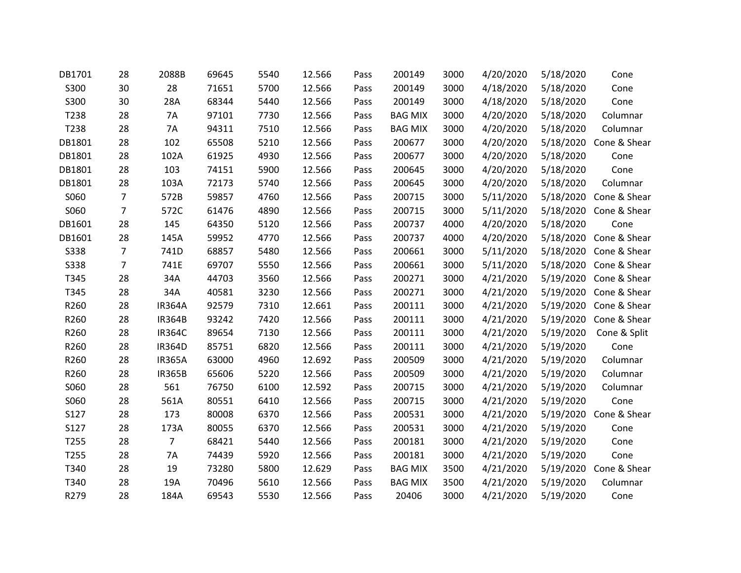| DB1701      | 28             | 2088B          | 69645 | 5540 | 12.566 | Pass | 200149         | 3000 | 4/20/2020 | 5/18/2020 | Cone                   |
|-------------|----------------|----------------|-------|------|--------|------|----------------|------|-----------|-----------|------------------------|
| S300        | 30             | 28             | 71651 | 5700 | 12.566 | Pass | 200149         | 3000 | 4/18/2020 | 5/18/2020 | Cone                   |
| S300        | 30             | 28A            | 68344 | 5440 | 12.566 | Pass | 200149         | 3000 | 4/18/2020 | 5/18/2020 | Cone                   |
| T238        | 28             | 7A             | 97101 | 7730 | 12.566 | Pass | <b>BAG MIX</b> | 3000 | 4/20/2020 | 5/18/2020 | Columnar               |
| T238        | 28             | <b>7A</b>      | 94311 | 7510 | 12.566 | Pass | <b>BAG MIX</b> | 3000 | 4/20/2020 | 5/18/2020 | Columnar               |
| DB1801      | 28             | 102            | 65508 | 5210 | 12.566 | Pass | 200677         | 3000 | 4/20/2020 | 5/18/2020 | Cone & Shear           |
| DB1801      | 28             | 102A           | 61925 | 4930 | 12.566 | Pass | 200677         | 3000 | 4/20/2020 | 5/18/2020 | Cone                   |
| DB1801      | 28             | 103            | 74151 | 5900 | 12.566 | Pass | 200645         | 3000 | 4/20/2020 | 5/18/2020 | Cone                   |
| DB1801      | 28             | 103A           | 72173 | 5740 | 12.566 | Pass | 200645         | 3000 | 4/20/2020 | 5/18/2020 | Columnar               |
| S060        | $\overline{7}$ | 572B           | 59857 | 4760 | 12.566 | Pass | 200715         | 3000 | 5/11/2020 | 5/18/2020 | Cone & Shear           |
| S060        | 7              | 572C           | 61476 | 4890 | 12.566 | Pass | 200715         | 3000 | 5/11/2020 |           | 5/18/2020 Cone & Shear |
| DB1601      | 28             | 145            | 64350 | 5120 | 12.566 | Pass | 200737         | 4000 | 4/20/2020 | 5/18/2020 | Cone                   |
| DB1601      | 28             | 145A           | 59952 | 4770 | 12.566 | Pass | 200737         | 4000 | 4/20/2020 | 5/18/2020 | Cone & Shear           |
| <b>S338</b> | $\overline{7}$ | 741D           | 68857 | 5480 | 12.566 | Pass | 200661         | 3000 | 5/11/2020 |           | 5/18/2020 Cone & Shear |
| <b>S338</b> | $\overline{7}$ | 741E           | 69707 | 5550 | 12.566 | Pass | 200661         | 3000 | 5/11/2020 |           | 5/18/2020 Cone & Shear |
| T345        | 28             | 34A            | 44703 | 3560 | 12.566 | Pass | 200271         | 3000 | 4/21/2020 | 5/19/2020 | Cone & Shear           |
| T345        | 28             | 34A            | 40581 | 3230 | 12.566 | Pass | 200271         | 3000 | 4/21/2020 | 5/19/2020 | Cone & Shear           |
| R260        | 28             | <b>IR364A</b>  | 92579 | 7310 | 12.661 | Pass | 200111         | 3000 | 4/21/2020 | 5/19/2020 | Cone & Shear           |
| R260        | 28             | <b>IR364B</b>  | 93242 | 7420 | 12.566 | Pass | 200111         | 3000 | 4/21/2020 | 5/19/2020 | Cone & Shear           |
| R260        | 28             | <b>IR364C</b>  | 89654 | 7130 | 12.566 | Pass | 200111         | 3000 | 4/21/2020 | 5/19/2020 | Cone & Split           |
| R260        | 28             | <b>IR364D</b>  | 85751 | 6820 | 12.566 | Pass | 200111         | 3000 | 4/21/2020 | 5/19/2020 | Cone                   |
| R260        | 28             | <b>IR365A</b>  | 63000 | 4960 | 12.692 | Pass | 200509         | 3000 | 4/21/2020 | 5/19/2020 | Columnar               |
| R260        | 28             | <b>IR365B</b>  | 65606 | 5220 | 12.566 | Pass | 200509         | 3000 | 4/21/2020 | 5/19/2020 | Columnar               |
| S060        | 28             | 561            | 76750 | 6100 | 12.592 | Pass | 200715         | 3000 | 4/21/2020 | 5/19/2020 | Columnar               |
| S060        | 28             | 561A           | 80551 | 6410 | 12.566 | Pass | 200715         | 3000 | 4/21/2020 | 5/19/2020 | Cone                   |
| S127        | 28             | 173            | 80008 | 6370 | 12.566 | Pass | 200531         | 3000 | 4/21/2020 |           | 5/19/2020 Cone & Shear |
| S127        | 28             | 173A           | 80055 | 6370 | 12.566 | Pass | 200531         | 3000 | 4/21/2020 | 5/19/2020 | Cone                   |
| T255        | 28             | $\overline{7}$ | 68421 | 5440 | 12.566 | Pass | 200181         | 3000 | 4/21/2020 | 5/19/2020 | Cone                   |
| T255        | 28             | 7A             | 74439 | 5920 | 12.566 | Pass | 200181         | 3000 | 4/21/2020 | 5/19/2020 | Cone                   |
| T340        | 28             | 19             | 73280 | 5800 | 12.629 | Pass | <b>BAG MIX</b> | 3500 | 4/21/2020 | 5/19/2020 | Cone & Shear           |
| T340        | 28             | 19A            | 70496 | 5610 | 12.566 | Pass | <b>BAG MIX</b> | 3500 | 4/21/2020 | 5/19/2020 | Columnar               |
| R279        | 28             | 184A           | 69543 | 5530 | 12.566 | Pass | 20406          | 3000 | 4/21/2020 | 5/19/2020 | Cone                   |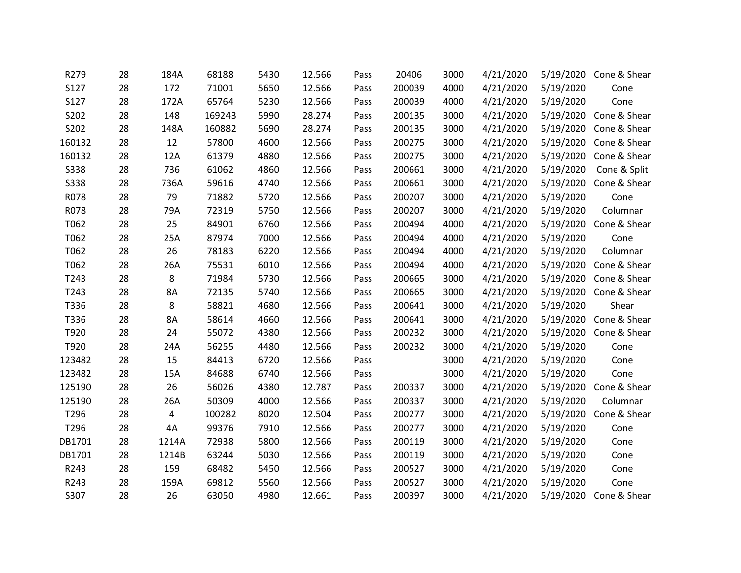| R279        | 28 | 184A  | 68188  | 5430 | 12.566 | Pass | 20406  | 3000 | 4/21/2020 |           | 5/19/2020 Cone & Shear |
|-------------|----|-------|--------|------|--------|------|--------|------|-----------|-----------|------------------------|
| S127        | 28 | 172   | 71001  | 5650 | 12.566 | Pass | 200039 | 4000 | 4/21/2020 | 5/19/2020 | Cone                   |
| S127        | 28 | 172A  | 65764  | 5230 | 12.566 | Pass | 200039 | 4000 | 4/21/2020 | 5/19/2020 | Cone                   |
| S202        | 28 | 148   | 169243 | 5990 | 28.274 | Pass | 200135 | 3000 | 4/21/2020 | 5/19/2020 | Cone & Shear           |
| S202        | 28 | 148A  | 160882 | 5690 | 28.274 | Pass | 200135 | 3000 | 4/21/2020 | 5/19/2020 | Cone & Shear           |
| 160132      | 28 | 12    | 57800  | 4600 | 12.566 | Pass | 200275 | 3000 | 4/21/2020 |           | 5/19/2020 Cone & Shear |
| 160132      | 28 | 12A   | 61379  | 4880 | 12.566 | Pass | 200275 | 3000 | 4/21/2020 | 5/19/2020 | Cone & Shear           |
| <b>S338</b> | 28 | 736   | 61062  | 4860 | 12.566 | Pass | 200661 | 3000 | 4/21/2020 | 5/19/2020 | Cone & Split           |
| <b>S338</b> | 28 | 736A  | 59616  | 4740 | 12.566 | Pass | 200661 | 3000 | 4/21/2020 |           | 5/19/2020 Cone & Shear |
| R078        | 28 | 79    | 71882  | 5720 | 12.566 | Pass | 200207 | 3000 | 4/21/2020 | 5/19/2020 | Cone                   |
| R078        | 28 | 79A   | 72319  | 5750 | 12.566 | Pass | 200207 | 3000 | 4/21/2020 | 5/19/2020 | Columnar               |
| T062        | 28 | 25    | 84901  | 6760 | 12.566 | Pass | 200494 | 4000 | 4/21/2020 |           | 5/19/2020 Cone & Shear |
| T062        | 28 | 25A   | 87974  | 7000 | 12.566 | Pass | 200494 | 4000 | 4/21/2020 | 5/19/2020 | Cone                   |
| T062        | 28 | 26    | 78183  | 6220 | 12.566 | Pass | 200494 | 4000 | 4/21/2020 | 5/19/2020 | Columnar               |
| T062        | 28 | 26A   | 75531  | 6010 | 12.566 | Pass | 200494 | 4000 | 4/21/2020 |           | 5/19/2020 Cone & Shear |
| T243        | 28 | 8     | 71984  | 5730 | 12.566 | Pass | 200665 | 3000 | 4/21/2020 | 5/19/2020 | Cone & Shear           |
| T243        | 28 | 8A    | 72135  | 5740 | 12.566 | Pass | 200665 | 3000 | 4/21/2020 |           | 5/19/2020 Cone & Shear |
| T336        | 28 | 8     | 58821  | 4680 | 12.566 | Pass | 200641 | 3000 | 4/21/2020 | 5/19/2020 | Shear                  |
| T336        | 28 | 8A    | 58614  | 4660 | 12.566 | Pass | 200641 | 3000 | 4/21/2020 |           | 5/19/2020 Cone & Shear |
| T920        | 28 | 24    | 55072  | 4380 | 12.566 | Pass | 200232 | 3000 | 4/21/2020 |           | 5/19/2020 Cone & Shear |
| T920        | 28 | 24A   | 56255  | 4480 | 12.566 | Pass | 200232 | 3000 | 4/21/2020 | 5/19/2020 | Cone                   |
| 123482      | 28 | 15    | 84413  | 6720 | 12.566 | Pass |        | 3000 | 4/21/2020 | 5/19/2020 | Cone                   |
| 123482      | 28 | 15A   | 84688  | 6740 | 12.566 | Pass |        | 3000 | 4/21/2020 | 5/19/2020 | Cone                   |
| 125190      | 28 | 26    | 56026  | 4380 | 12.787 | Pass | 200337 | 3000 | 4/21/2020 | 5/19/2020 | Cone & Shear           |
| 125190      | 28 | 26A   | 50309  | 4000 | 12.566 | Pass | 200337 | 3000 | 4/21/2020 | 5/19/2020 | Columnar               |
| T296        | 28 | 4     | 100282 | 8020 | 12.504 | Pass | 200277 | 3000 | 4/21/2020 |           | 5/19/2020 Cone & Shear |
| T296        | 28 | 4A    | 99376  | 7910 | 12.566 | Pass | 200277 | 3000 | 4/21/2020 | 5/19/2020 | Cone                   |
| DB1701      | 28 | 1214A | 72938  | 5800 | 12.566 | Pass | 200119 | 3000 | 4/21/2020 | 5/19/2020 | Cone                   |
| DB1701      | 28 | 1214B | 63244  | 5030 | 12.566 | Pass | 200119 | 3000 | 4/21/2020 | 5/19/2020 | Cone                   |
| R243        | 28 | 159   | 68482  | 5450 | 12.566 | Pass | 200527 | 3000 | 4/21/2020 | 5/19/2020 | Cone                   |
| R243        | 28 | 159A  | 69812  | 5560 | 12.566 | Pass | 200527 | 3000 | 4/21/2020 | 5/19/2020 | Cone                   |
| S307        | 28 | 26    | 63050  | 4980 | 12.661 | Pass | 200397 | 3000 | 4/21/2020 |           | 5/19/2020 Cone & Shear |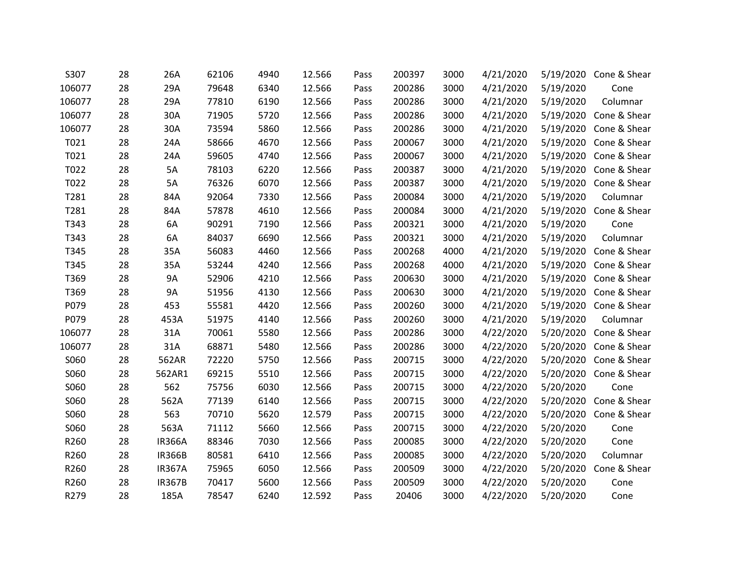| S307   | 28 | 26A           | 62106 | 4940 | 12.566 | Pass | 200397 | 3000 | 4/21/2020 |           | 5/19/2020 Cone & Shear |
|--------|----|---------------|-------|------|--------|------|--------|------|-----------|-----------|------------------------|
| 106077 | 28 | 29A           | 79648 | 6340 | 12.566 | Pass | 200286 | 3000 | 4/21/2020 | 5/19/2020 | Cone                   |
| 106077 | 28 | 29A           | 77810 | 6190 | 12.566 | Pass | 200286 | 3000 | 4/21/2020 | 5/19/2020 | Columnar               |
| 106077 | 28 | 30A           | 71905 | 5720 | 12.566 | Pass | 200286 | 3000 | 4/21/2020 |           | 5/19/2020 Cone & Shear |
| 106077 | 28 | 30A           | 73594 | 5860 | 12.566 | Pass | 200286 | 3000 | 4/21/2020 |           | 5/19/2020 Cone & Shear |
| T021   | 28 | 24A           | 58666 | 4670 | 12.566 | Pass | 200067 | 3000 | 4/21/2020 |           | 5/19/2020 Cone & Shear |
| T021   | 28 | 24A           | 59605 | 4740 | 12.566 | Pass | 200067 | 3000 | 4/21/2020 |           | 5/19/2020 Cone & Shear |
| T022   | 28 | 5A            | 78103 | 6220 | 12.566 | Pass | 200387 | 3000 | 4/21/2020 |           | 5/19/2020 Cone & Shear |
| T022   | 28 | 5A            | 76326 | 6070 | 12.566 | Pass | 200387 | 3000 | 4/21/2020 |           | 5/19/2020 Cone & Shear |
| T281   | 28 | 84A           | 92064 | 7330 | 12.566 | Pass | 200084 | 3000 | 4/21/2020 | 5/19/2020 | Columnar               |
| T281   | 28 | 84A           | 57878 | 4610 | 12.566 | Pass | 200084 | 3000 | 4/21/2020 |           | 5/19/2020 Cone & Shear |
| T343   | 28 | 6A            | 90291 | 7190 | 12.566 | Pass | 200321 | 3000 | 4/21/2020 | 5/19/2020 | Cone                   |
| T343   | 28 | 6A            | 84037 | 6690 | 12.566 | Pass | 200321 | 3000 | 4/21/2020 | 5/19/2020 | Columnar               |
| T345   | 28 | 35A           | 56083 | 4460 | 12.566 | Pass | 200268 | 4000 | 4/21/2020 |           | 5/19/2020 Cone & Shear |
| T345   | 28 | 35A           | 53244 | 4240 | 12.566 | Pass | 200268 | 4000 | 4/21/2020 |           | 5/19/2020 Cone & Shear |
| T369   | 28 | <b>9A</b>     | 52906 | 4210 | 12.566 | Pass | 200630 | 3000 | 4/21/2020 |           | 5/19/2020 Cone & Shear |
| T369   | 28 | 9A            | 51956 | 4130 | 12.566 | Pass | 200630 | 3000 | 4/21/2020 |           | 5/19/2020 Cone & Shear |
| P079   | 28 | 453           | 55581 | 4420 | 12.566 | Pass | 200260 | 3000 | 4/21/2020 |           | 5/19/2020 Cone & Shear |
| P079   | 28 | 453A          | 51975 | 4140 | 12.566 | Pass | 200260 | 3000 | 4/21/2020 | 5/19/2020 | Columnar               |
| 106077 | 28 | 31A           | 70061 | 5580 | 12.566 | Pass | 200286 | 3000 | 4/22/2020 |           | 5/20/2020 Cone & Shear |
| 106077 | 28 | 31A           | 68871 | 5480 | 12.566 | Pass | 200286 | 3000 | 4/22/2020 |           | 5/20/2020 Cone & Shear |
| S060   | 28 | 562AR         | 72220 | 5750 | 12.566 | Pass | 200715 | 3000 | 4/22/2020 |           | 5/20/2020 Cone & Shear |
| S060   | 28 | 562AR1        | 69215 | 5510 | 12.566 | Pass | 200715 | 3000 | 4/22/2020 |           | 5/20/2020 Cone & Shear |
| S060   | 28 | 562           | 75756 | 6030 | 12.566 | Pass | 200715 | 3000 | 4/22/2020 | 5/20/2020 | Cone                   |
| S060   | 28 | 562A          | 77139 | 6140 | 12.566 | Pass | 200715 | 3000 | 4/22/2020 |           | 5/20/2020 Cone & Shear |
| S060   | 28 | 563           | 70710 | 5620 | 12.579 | Pass | 200715 | 3000 | 4/22/2020 |           | 5/20/2020 Cone & Shear |
| S060   | 28 | 563A          | 71112 | 5660 | 12.566 | Pass | 200715 | 3000 | 4/22/2020 | 5/20/2020 | Cone                   |
| R260   | 28 | <b>IR366A</b> | 88346 | 7030 | 12.566 | Pass | 200085 | 3000 | 4/22/2020 | 5/20/2020 | Cone                   |
| R260   | 28 | <b>IR366B</b> | 80581 | 6410 | 12.566 | Pass | 200085 | 3000 | 4/22/2020 | 5/20/2020 | Columnar               |
| R260   | 28 | <b>IR367A</b> | 75965 | 6050 | 12.566 | Pass | 200509 | 3000 | 4/22/2020 |           | 5/20/2020 Cone & Shear |
| R260   | 28 | <b>IR367B</b> | 70417 | 5600 | 12.566 | Pass | 200509 | 3000 | 4/22/2020 | 5/20/2020 | Cone                   |
| R279   | 28 | 185A          | 78547 | 6240 | 12.592 | Pass | 20406  | 3000 | 4/22/2020 | 5/20/2020 | Cone                   |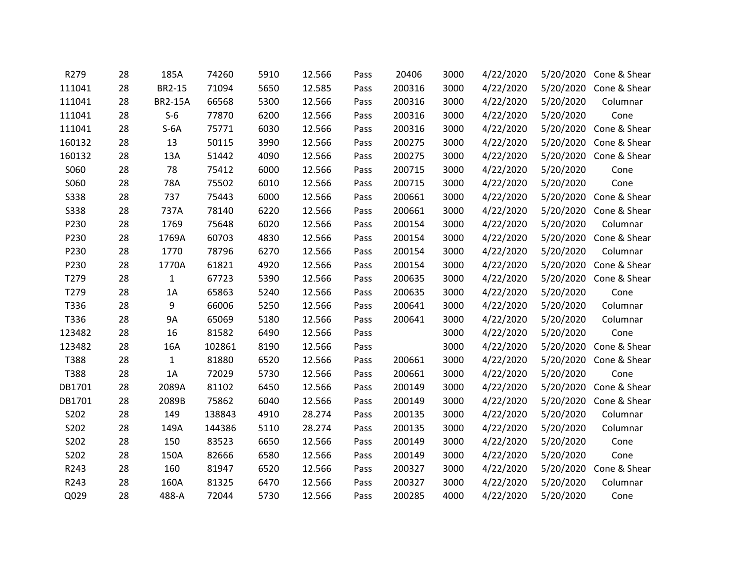| R279        | 28 | 185A           | 74260  | 5910 | 12.566 | Pass | 20406  | 3000 | 4/22/2020 |           | 5/20/2020 Cone & Shear |
|-------------|----|----------------|--------|------|--------|------|--------|------|-----------|-----------|------------------------|
| 111041      | 28 | BR2-15         | 71094  | 5650 | 12.585 | Pass | 200316 | 3000 | 4/22/2020 |           | 5/20/2020 Cone & Shear |
| 111041      | 28 | <b>BR2-15A</b> | 66568  | 5300 | 12.566 | Pass | 200316 | 3000 | 4/22/2020 | 5/20/2020 | Columnar               |
| 111041      | 28 | $S-6$          | 77870  | 6200 | 12.566 | Pass | 200316 | 3000 | 4/22/2020 | 5/20/2020 | Cone                   |
| 111041      | 28 | $S-6A$         | 75771  | 6030 | 12.566 | Pass | 200316 | 3000 | 4/22/2020 |           | 5/20/2020 Cone & Shear |
| 160132      | 28 | 13             | 50115  | 3990 | 12.566 | Pass | 200275 | 3000 | 4/22/2020 |           | 5/20/2020 Cone & Shear |
| 160132      | 28 | 13A            | 51442  | 4090 | 12.566 | Pass | 200275 | 3000 | 4/22/2020 |           | 5/20/2020 Cone & Shear |
| S060        | 28 | 78             | 75412  | 6000 | 12.566 | Pass | 200715 | 3000 | 4/22/2020 | 5/20/2020 | Cone                   |
| S060        | 28 | 78A            | 75502  | 6010 | 12.566 | Pass | 200715 | 3000 | 4/22/2020 | 5/20/2020 | Cone                   |
| <b>S338</b> | 28 | 737            | 75443  | 6000 | 12.566 | Pass | 200661 | 3000 | 4/22/2020 |           | 5/20/2020 Cone & Shear |
| <b>S338</b> | 28 | 737A           | 78140  | 6220 | 12.566 | Pass | 200661 | 3000 | 4/22/2020 |           | 5/20/2020 Cone & Shear |
| P230        | 28 | 1769           | 75648  | 6020 | 12.566 | Pass | 200154 | 3000 | 4/22/2020 | 5/20/2020 | Columnar               |
| P230        | 28 | 1769A          | 60703  | 4830 | 12.566 | Pass | 200154 | 3000 | 4/22/2020 |           | 5/20/2020 Cone & Shear |
| P230        | 28 | 1770           | 78796  | 6270 | 12.566 | Pass | 200154 | 3000 | 4/22/2020 | 5/20/2020 | Columnar               |
| P230        | 28 | 1770A          | 61821  | 4920 | 12.566 | Pass | 200154 | 3000 | 4/22/2020 |           | 5/20/2020 Cone & Shear |
| T279        | 28 | $\mathbf{1}$   | 67723  | 5390 | 12.566 | Pass | 200635 | 3000 | 4/22/2020 |           | 5/20/2020 Cone & Shear |
| T279        | 28 | 1A             | 65863  | 5240 | 12.566 | Pass | 200635 | 3000 | 4/22/2020 | 5/20/2020 | Cone                   |
| T336        | 28 | 9              | 66006  | 5250 | 12.566 | Pass | 200641 | 3000 | 4/22/2020 | 5/20/2020 | Columnar               |
| T336        | 28 | <b>9A</b>      | 65069  | 5180 | 12.566 | Pass | 200641 | 3000 | 4/22/2020 | 5/20/2020 | Columnar               |
| 123482      | 28 | 16             | 81582  | 6490 | 12.566 | Pass |        | 3000 | 4/22/2020 | 5/20/2020 | Cone                   |
| 123482      | 28 | 16A            | 102861 | 8190 | 12.566 | Pass |        | 3000 | 4/22/2020 |           | 5/20/2020 Cone & Shear |
| T388        | 28 | $\mathbf 1$    | 81880  | 6520 | 12.566 | Pass | 200661 | 3000 | 4/22/2020 |           | 5/20/2020 Cone & Shear |
| T388        | 28 | 1A             | 72029  | 5730 | 12.566 | Pass | 200661 | 3000 | 4/22/2020 | 5/20/2020 | Cone                   |
| DB1701      | 28 | 2089A          | 81102  | 6450 | 12.566 | Pass | 200149 | 3000 | 4/22/2020 | 5/20/2020 | Cone & Shear           |
| DB1701      | 28 | 2089B          | 75862  | 6040 | 12.566 | Pass | 200149 | 3000 | 4/22/2020 |           | 5/20/2020 Cone & Shear |
| S202        | 28 | 149            | 138843 | 4910 | 28.274 | Pass | 200135 | 3000 | 4/22/2020 | 5/20/2020 | Columnar               |
| S202        | 28 | 149A           | 144386 | 5110 | 28.274 | Pass | 200135 | 3000 | 4/22/2020 | 5/20/2020 | Columnar               |
| S202        | 28 | 150            | 83523  | 6650 | 12.566 | Pass | 200149 | 3000 | 4/22/2020 | 5/20/2020 | Cone                   |
| S202        | 28 | 150A           | 82666  | 6580 | 12.566 | Pass | 200149 | 3000 | 4/22/2020 | 5/20/2020 | Cone                   |
| R243        | 28 | 160            | 81947  | 6520 | 12.566 | Pass | 200327 | 3000 | 4/22/2020 |           | 5/20/2020 Cone & Shear |
| R243        | 28 | 160A           | 81325  | 6470 | 12.566 | Pass | 200327 | 3000 | 4/22/2020 | 5/20/2020 | Columnar               |
| Q029        | 28 | 488-A          | 72044  | 5730 | 12.566 | Pass | 200285 | 4000 | 4/22/2020 | 5/20/2020 | Cone                   |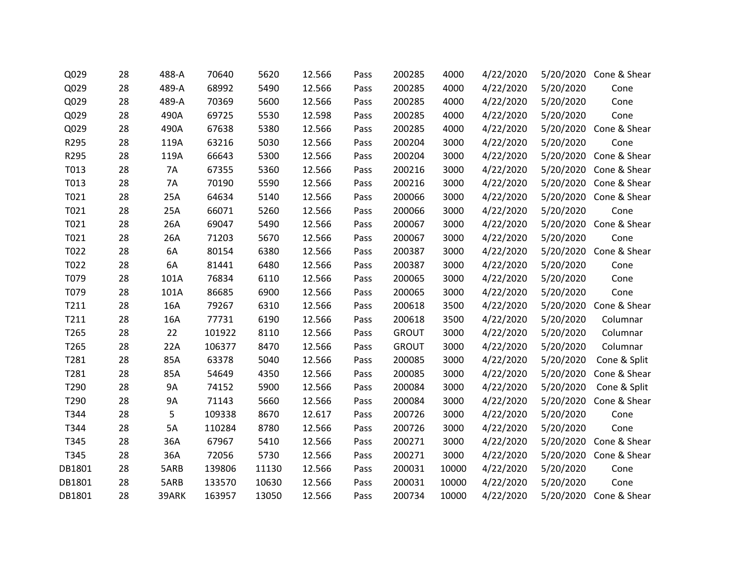| Q029   | 28 | 488-A     | 70640  | 5620  | 12.566 | Pass | 200285       | 4000  | 4/22/2020 |           | 5/20/2020 Cone & Shear |
|--------|----|-----------|--------|-------|--------|------|--------------|-------|-----------|-----------|------------------------|
| Q029   | 28 | 489-A     | 68992  | 5490  | 12.566 | Pass | 200285       | 4000  | 4/22/2020 | 5/20/2020 | Cone                   |
| Q029   | 28 | 489-A     | 70369  | 5600  | 12.566 | Pass | 200285       | 4000  | 4/22/2020 | 5/20/2020 | Cone                   |
| Q029   | 28 | 490A      | 69725  | 5530  | 12.598 | Pass | 200285       | 4000  | 4/22/2020 | 5/20/2020 | Cone                   |
| Q029   | 28 | 490A      | 67638  | 5380  | 12.566 | Pass | 200285       | 4000  | 4/22/2020 |           | 5/20/2020 Cone & Shear |
| R295   | 28 | 119A      | 63216  | 5030  | 12.566 | Pass | 200204       | 3000  | 4/22/2020 | 5/20/2020 | Cone                   |
| R295   | 28 | 119A      | 66643  | 5300  | 12.566 | Pass | 200204       | 3000  | 4/22/2020 |           | 5/20/2020 Cone & Shear |
| T013   | 28 | 7A        | 67355  | 5360  | 12.566 | Pass | 200216       | 3000  | 4/22/2020 |           | 5/20/2020 Cone & Shear |
| T013   | 28 | 7A        | 70190  | 5590  | 12.566 | Pass | 200216       | 3000  | 4/22/2020 |           | 5/20/2020 Cone & Shear |
| T021   | 28 | 25A       | 64634  | 5140  | 12.566 | Pass | 200066       | 3000  | 4/22/2020 |           | 5/20/2020 Cone & Shear |
| T021   | 28 | 25A       | 66071  | 5260  | 12.566 | Pass | 200066       | 3000  | 4/22/2020 | 5/20/2020 | Cone                   |
| T021   | 28 | 26A       | 69047  | 5490  | 12.566 | Pass | 200067       | 3000  | 4/22/2020 |           | 5/20/2020 Cone & Shear |
| T021   | 28 | 26A       | 71203  | 5670  | 12.566 | Pass | 200067       | 3000  | 4/22/2020 | 5/20/2020 | Cone                   |
| T022   | 28 | 6A        | 80154  | 6380  | 12.566 | Pass | 200387       | 3000  | 4/22/2020 |           | 5/20/2020 Cone & Shear |
| T022   | 28 | 6A        | 81441  | 6480  | 12.566 | Pass | 200387       | 3000  | 4/22/2020 | 5/20/2020 | Cone                   |
| T079   | 28 | 101A      | 76834  | 6110  | 12.566 | Pass | 200065       | 3000  | 4/22/2020 | 5/20/2020 | Cone                   |
| T079   | 28 | 101A      | 86685  | 6900  | 12.566 | Pass | 200065       | 3000  | 4/22/2020 | 5/20/2020 | Cone                   |
| T211   | 28 | 16A       | 79267  | 6310  | 12.566 | Pass | 200618       | 3500  | 4/22/2020 |           | 5/20/2020 Cone & Shear |
| T211   | 28 | 16A       | 77731  | 6190  | 12.566 | Pass | 200618       | 3500  | 4/22/2020 | 5/20/2020 | Columnar               |
| T265   | 28 | 22        | 101922 | 8110  | 12.566 | Pass | <b>GROUT</b> | 3000  | 4/22/2020 | 5/20/2020 | Columnar               |
| T265   | 28 | 22A       | 106377 | 8470  | 12.566 | Pass | <b>GROUT</b> | 3000  | 4/22/2020 | 5/20/2020 | Columnar               |
| T281   | 28 | 85A       | 63378  | 5040  | 12.566 | Pass | 200085       | 3000  | 4/22/2020 | 5/20/2020 | Cone & Split           |
| T281   | 28 | 85A       | 54649  | 4350  | 12.566 | Pass | 200085       | 3000  | 4/22/2020 | 5/20/2020 | Cone & Shear           |
| T290   | 28 | <b>9A</b> | 74152  | 5900  | 12.566 | Pass | 200084       | 3000  | 4/22/2020 | 5/20/2020 | Cone & Split           |
| T290   | 28 | 9A        | 71143  | 5660  | 12.566 | Pass | 200084       | 3000  | 4/22/2020 |           | 5/20/2020 Cone & Shear |
| T344   | 28 | 5         | 109338 | 8670  | 12.617 | Pass | 200726       | 3000  | 4/22/2020 | 5/20/2020 | Cone                   |
| T344   | 28 | 5A        | 110284 | 8780  | 12.566 | Pass | 200726       | 3000  | 4/22/2020 | 5/20/2020 | Cone                   |
| T345   | 28 | 36A       | 67967  | 5410  | 12.566 | Pass | 200271       | 3000  | 4/22/2020 |           | 5/20/2020 Cone & Shear |
| T345   | 28 | 36A       | 72056  | 5730  | 12.566 | Pass | 200271       | 3000  | 4/22/2020 |           | 5/20/2020 Cone & Shear |
| DB1801 | 28 | 5ARB      | 139806 | 11130 | 12.566 | Pass | 200031       | 10000 | 4/22/2020 | 5/20/2020 | Cone                   |
| DB1801 | 28 | 5ARB      | 133570 | 10630 | 12.566 | Pass | 200031       | 10000 | 4/22/2020 | 5/20/2020 | Cone                   |
| DB1801 | 28 | 39ARK     | 163957 | 13050 | 12.566 | Pass | 200734       | 10000 | 4/22/2020 |           | 5/20/2020 Cone & Shear |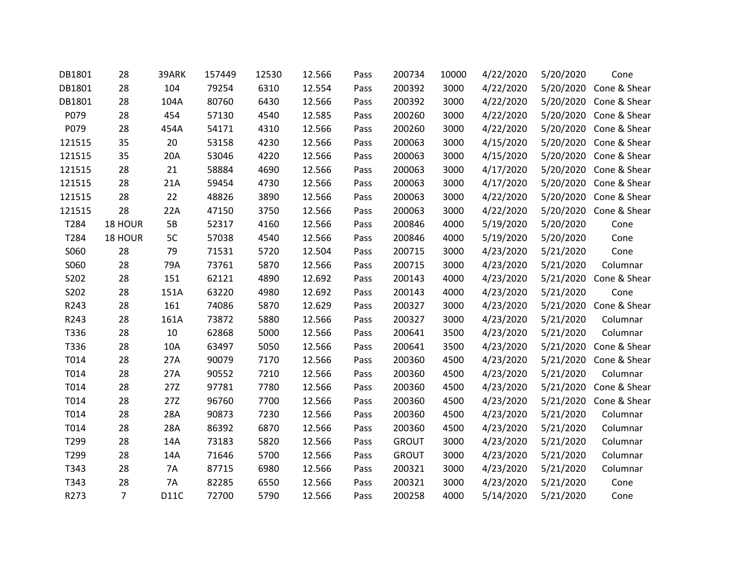| DB1801 | 28             | 39ARK       | 157449 | 12530 | 12.566 | Pass | 200734       | 10000 | 4/22/2020 | 5/20/2020 | Cone                   |
|--------|----------------|-------------|--------|-------|--------|------|--------------|-------|-----------|-----------|------------------------|
| DB1801 | 28             | 104         | 79254  | 6310  | 12.554 | Pass | 200392       | 3000  | 4/22/2020 |           | 5/20/2020 Cone & Shear |
| DB1801 | 28             | 104A        | 80760  | 6430  | 12.566 | Pass | 200392       | 3000  | 4/22/2020 |           | 5/20/2020 Cone & Shear |
| P079   | 28             | 454         | 57130  | 4540  | 12.585 | Pass | 200260       | 3000  | 4/22/2020 |           | 5/20/2020 Cone & Shear |
| P079   | 28             | 454A        | 54171  | 4310  | 12.566 | Pass | 200260       | 3000  | 4/22/2020 |           | 5/20/2020 Cone & Shear |
| 121515 | 35             | 20          | 53158  | 4230  | 12.566 | Pass | 200063       | 3000  | 4/15/2020 |           | 5/20/2020 Cone & Shear |
| 121515 | 35             | 20A         | 53046  | 4220  | 12.566 | Pass | 200063       | 3000  | 4/15/2020 |           | 5/20/2020 Cone & Shear |
| 121515 | 28             | 21          | 58884  | 4690  | 12.566 | Pass | 200063       | 3000  | 4/17/2020 |           | 5/20/2020 Cone & Shear |
| 121515 | 28             | 21A         | 59454  | 4730  | 12.566 | Pass | 200063       | 3000  | 4/17/2020 |           | 5/20/2020 Cone & Shear |
| 121515 | 28             | 22          | 48826  | 3890  | 12.566 | Pass | 200063       | 3000  | 4/22/2020 |           | 5/20/2020 Cone & Shear |
| 121515 | 28             | 22A         | 47150  | 3750  | 12.566 | Pass | 200063       | 3000  | 4/22/2020 |           | 5/20/2020 Cone & Shear |
| T284   | 18 HOUR        | 5B          | 52317  | 4160  | 12.566 | Pass | 200846       | 4000  | 5/19/2020 | 5/20/2020 | Cone                   |
| T284   | 18 HOUR        | 5C          | 57038  | 4540  | 12.566 | Pass | 200846       | 4000  | 5/19/2020 | 5/20/2020 | Cone                   |
| S060   | 28             | 79          | 71531  | 5720  | 12.504 | Pass | 200715       | 3000  | 4/23/2020 | 5/21/2020 | Cone                   |
| S060   | 28             | 79A         | 73761  | 5870  | 12.566 | Pass | 200715       | 3000  | 4/23/2020 | 5/21/2020 | Columnar               |
| S202   | 28             | 151         | 62121  | 4890  | 12.692 | Pass | 200143       | 4000  | 4/23/2020 | 5/21/2020 | Cone & Shear           |
| S202   | 28             | 151A        | 63220  | 4980  | 12.692 | Pass | 200143       | 4000  | 4/23/2020 | 5/21/2020 | Cone                   |
| R243   | 28             | 161         | 74086  | 5870  | 12.629 | Pass | 200327       | 3000  | 4/23/2020 | 5/21/2020 | Cone & Shear           |
| R243   | 28             | 161A        | 73872  | 5880  | 12.566 | Pass | 200327       | 3000  | 4/23/2020 | 5/21/2020 | Columnar               |
| T336   | 28             | 10          | 62868  | 5000  | 12.566 | Pass | 200641       | 3500  | 4/23/2020 | 5/21/2020 | Columnar               |
| T336   | 28             | 10A         | 63497  | 5050  | 12.566 | Pass | 200641       | 3500  | 4/23/2020 | 5/21/2020 | Cone & Shear           |
| T014   | 28             | 27A         | 90079  | 7170  | 12.566 | Pass | 200360       | 4500  | 4/23/2020 |           | 5/21/2020 Cone & Shear |
| T014   | 28             | 27A         | 90552  | 7210  | 12.566 | Pass | 200360       | 4500  | 4/23/2020 | 5/21/2020 | Columnar               |
| T014   | 28             | 27Z         | 97781  | 7780  | 12.566 | Pass | 200360       | 4500  | 4/23/2020 | 5/21/2020 | Cone & Shear           |
| T014   | 28             | 27Z         | 96760  | 7700  | 12.566 | Pass | 200360       | 4500  | 4/23/2020 |           | 5/21/2020 Cone & Shear |
| T014   | 28             | 28A         | 90873  | 7230  | 12.566 | Pass | 200360       | 4500  | 4/23/2020 | 5/21/2020 | Columnar               |
| T014   | 28             | 28A         | 86392  | 6870  | 12.566 | Pass | 200360       | 4500  | 4/23/2020 | 5/21/2020 | Columnar               |
| T299   | 28             | 14A         | 73183  | 5820  | 12.566 | Pass | <b>GROUT</b> | 3000  | 4/23/2020 | 5/21/2020 | Columnar               |
| T299   | 28             | 14A         | 71646  | 5700  | 12.566 | Pass | <b>GROUT</b> | 3000  | 4/23/2020 | 5/21/2020 | Columnar               |
| T343   | 28             | 7A          | 87715  | 6980  | 12.566 | Pass | 200321       | 3000  | 4/23/2020 | 5/21/2020 | Columnar               |
| T343   | 28             | 7A          | 82285  | 6550  | 12.566 | Pass | 200321       | 3000  | 4/23/2020 | 5/21/2020 | Cone                   |
| R273   | $\overline{7}$ | <b>D11C</b> | 72700  | 5790  | 12.566 | Pass | 200258       | 4000  | 5/14/2020 | 5/21/2020 | Cone                   |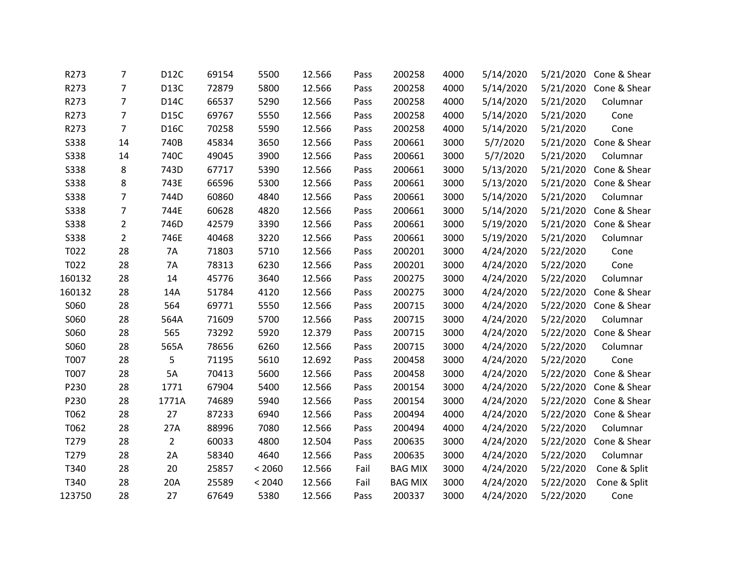| R273        | 7              | D <sub>12</sub> C | 69154 | 5500   | 12.566 | Pass | 200258         | 4000 | 5/14/2020 | 5/21/2020 | Cone & Shear           |
|-------------|----------------|-------------------|-------|--------|--------|------|----------------|------|-----------|-----------|------------------------|
| R273        | 7              | D <sub>13</sub> C | 72879 | 5800   | 12.566 | Pass | 200258         | 4000 | 5/14/2020 |           | 5/21/2020 Cone & Shear |
| R273        | 7              | D <sub>14</sub> C | 66537 | 5290   | 12.566 | Pass | 200258         | 4000 | 5/14/2020 | 5/21/2020 | Columnar               |
| R273        | 7              | D <sub>15</sub> C | 69767 | 5550   | 12.566 | Pass | 200258         | 4000 | 5/14/2020 | 5/21/2020 | Cone                   |
| R273        | 7              | D16C              | 70258 | 5590   | 12.566 | Pass | 200258         | 4000 | 5/14/2020 | 5/21/2020 | Cone                   |
| <b>S338</b> | 14             | 740B              | 45834 | 3650   | 12.566 | Pass | 200661         | 3000 | 5/7/2020  | 5/21/2020 | Cone & Shear           |
| <b>S338</b> | 14             | 740C              | 49045 | 3900   | 12.566 | Pass | 200661         | 3000 | 5/7/2020  | 5/21/2020 | Columnar               |
| <b>S338</b> | 8              | 743D              | 67717 | 5390   | 12.566 | Pass | 200661         | 3000 | 5/13/2020 |           | 5/21/2020 Cone & Shear |
| <b>S338</b> | 8              | 743E              | 66596 | 5300   | 12.566 | Pass | 200661         | 3000 | 5/13/2020 |           | 5/21/2020 Cone & Shear |
| <b>S338</b> | $\overline{7}$ | 744D              | 60860 | 4840   | 12.566 | Pass | 200661         | 3000 | 5/14/2020 | 5/21/2020 | Columnar               |
| <b>S338</b> | 7              | 744E              | 60628 | 4820   | 12.566 | Pass | 200661         | 3000 | 5/14/2020 | 5/21/2020 | Cone & Shear           |
| <b>S338</b> | $\overline{2}$ | 746D              | 42579 | 3390   | 12.566 | Pass | 200661         | 3000 | 5/19/2020 |           | 5/21/2020 Cone & Shear |
| <b>S338</b> | $\overline{2}$ | 746E              | 40468 | 3220   | 12.566 | Pass | 200661         | 3000 | 5/19/2020 | 5/21/2020 | Columnar               |
| T022        | 28             | <b>7A</b>         | 71803 | 5710   | 12.566 | Pass | 200201         | 3000 | 4/24/2020 | 5/22/2020 | Cone                   |
| T022        | 28             | <b>7A</b>         | 78313 | 6230   | 12.566 | Pass | 200201         | 3000 | 4/24/2020 | 5/22/2020 | Cone                   |
| 160132      | 28             | 14                | 45776 | 3640   | 12.566 | Pass | 200275         | 3000 | 4/24/2020 | 5/22/2020 | Columnar               |
| 160132      | 28             | 14A               | 51784 | 4120   | 12.566 | Pass | 200275         | 3000 | 4/24/2020 | 5/22/2020 | Cone & Shear           |
| S060        | 28             | 564               | 69771 | 5550   | 12.566 | Pass | 200715         | 3000 | 4/24/2020 | 5/22/2020 | Cone & Shear           |
| S060        | 28             | 564A              | 71609 | 5700   | 12.566 | Pass | 200715         | 3000 | 4/24/2020 | 5/22/2020 | Columnar               |
| S060        | 28             | 565               | 73292 | 5920   | 12.379 | Pass | 200715         | 3000 | 4/24/2020 |           | 5/22/2020 Cone & Shear |
| S060        | 28             | 565A              | 78656 | 6260   | 12.566 | Pass | 200715         | 3000 | 4/24/2020 | 5/22/2020 | Columnar               |
| T007        | 28             | 5                 | 71195 | 5610   | 12.692 | Pass | 200458         | 3000 | 4/24/2020 | 5/22/2020 | Cone                   |
| T007        | 28             | 5A                | 70413 | 5600   | 12.566 | Pass | 200458         | 3000 | 4/24/2020 | 5/22/2020 | Cone & Shear           |
| P230        | 28             | 1771              | 67904 | 5400   | 12.566 | Pass | 200154         | 3000 | 4/24/2020 | 5/22/2020 | Cone & Shear           |
| P230        | 28             | 1771A             | 74689 | 5940   | 12.566 | Pass | 200154         | 3000 | 4/24/2020 |           | 5/22/2020 Cone & Shear |
| T062        | 28             | 27                | 87233 | 6940   | 12.566 | Pass | 200494         | 4000 | 4/24/2020 |           | 5/22/2020 Cone & Shear |
| T062        | 28             | 27A               | 88996 | 7080   | 12.566 | Pass | 200494         | 4000 | 4/24/2020 | 5/22/2020 | Columnar               |
| T279        | 28             | $\overline{2}$    | 60033 | 4800   | 12.504 | Pass | 200635         | 3000 | 4/24/2020 | 5/22/2020 | Cone & Shear           |
| T279        | 28             | 2A                | 58340 | 4640   | 12.566 | Pass | 200635         | 3000 | 4/24/2020 | 5/22/2020 | Columnar               |
| T340        | 28             | 20                | 25857 | < 2060 | 12.566 | Fail | <b>BAG MIX</b> | 3000 | 4/24/2020 | 5/22/2020 | Cone & Split           |
| T340        | 28             | 20A               | 25589 | < 2040 | 12.566 | Fail | <b>BAG MIX</b> | 3000 | 4/24/2020 | 5/22/2020 | Cone & Split           |
| 123750      | 28             | 27                | 67649 | 5380   | 12.566 | Pass | 200337         | 3000 | 4/24/2020 | 5/22/2020 | Cone                   |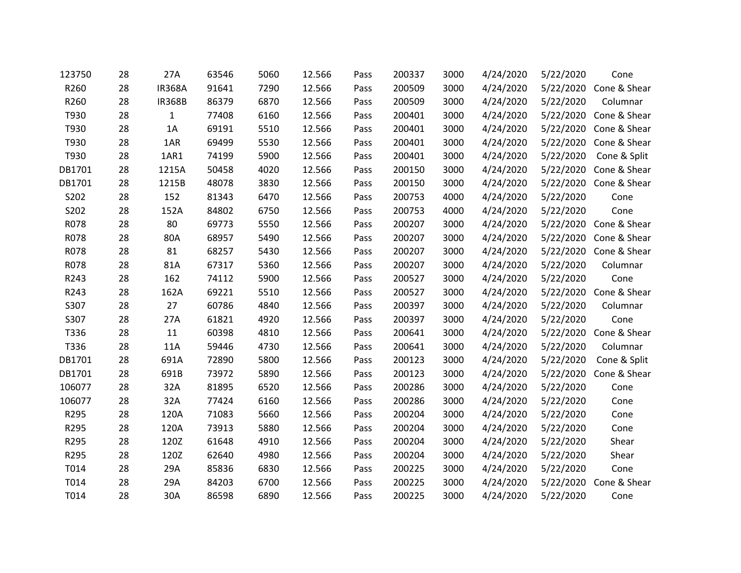| 123750 | 28 | 27A           | 63546 | 5060 | 12.566 | Pass | 200337 | 3000 | 4/24/2020 | 5/22/2020 | Cone                   |
|--------|----|---------------|-------|------|--------|------|--------|------|-----------|-----------|------------------------|
| R260   | 28 | <b>IR368A</b> | 91641 | 7290 | 12.566 | Pass | 200509 | 3000 | 4/24/2020 | 5/22/2020 | Cone & Shear           |
| R260   | 28 | <b>IR368B</b> | 86379 | 6870 | 12.566 | Pass | 200509 | 3000 | 4/24/2020 | 5/22/2020 | Columnar               |
| T930   | 28 | $\mathbf{1}$  | 77408 | 6160 | 12.566 | Pass | 200401 | 3000 | 4/24/2020 | 5/22/2020 | Cone & Shear           |
| T930   | 28 | 1A            | 69191 | 5510 | 12.566 | Pass | 200401 | 3000 | 4/24/2020 | 5/22/2020 | Cone & Shear           |
| T930   | 28 | 1AR           | 69499 | 5530 | 12.566 | Pass | 200401 | 3000 | 4/24/2020 | 5/22/2020 | Cone & Shear           |
| T930   | 28 | 1AR1          | 74199 | 5900 | 12.566 | Pass | 200401 | 3000 | 4/24/2020 | 5/22/2020 | Cone & Split           |
| DB1701 | 28 | 1215A         | 50458 | 4020 | 12.566 | Pass | 200150 | 3000 | 4/24/2020 | 5/22/2020 | Cone & Shear           |
| DB1701 | 28 | 1215B         | 48078 | 3830 | 12.566 | Pass | 200150 | 3000 | 4/24/2020 |           | 5/22/2020 Cone & Shear |
| S202   | 28 | 152           | 81343 | 6470 | 12.566 | Pass | 200753 | 4000 | 4/24/2020 | 5/22/2020 | Cone                   |
| S202   | 28 | 152A          | 84802 | 6750 | 12.566 | Pass | 200753 | 4000 | 4/24/2020 | 5/22/2020 | Cone                   |
| R078   | 28 | 80            | 69773 | 5550 | 12.566 | Pass | 200207 | 3000 | 4/24/2020 | 5/22/2020 | Cone & Shear           |
| R078   | 28 | 80A           | 68957 | 5490 | 12.566 | Pass | 200207 | 3000 | 4/24/2020 | 5/22/2020 | Cone & Shear           |
| R078   | 28 | 81            | 68257 | 5430 | 12.566 | Pass | 200207 | 3000 | 4/24/2020 | 5/22/2020 | Cone & Shear           |
| R078   | 28 | 81A           | 67317 | 5360 | 12.566 | Pass | 200207 | 3000 | 4/24/2020 | 5/22/2020 | Columnar               |
| R243   | 28 | 162           | 74112 | 5900 | 12.566 | Pass | 200527 | 3000 | 4/24/2020 | 5/22/2020 | Cone                   |
| R243   | 28 | 162A          | 69221 | 5510 | 12.566 | Pass | 200527 | 3000 | 4/24/2020 | 5/22/2020 | Cone & Shear           |
| S307   | 28 | 27            | 60786 | 4840 | 12.566 | Pass | 200397 | 3000 | 4/24/2020 | 5/22/2020 | Columnar               |
| S307   | 28 | 27A           | 61821 | 4920 | 12.566 | Pass | 200397 | 3000 | 4/24/2020 | 5/22/2020 | Cone                   |
| T336   | 28 | 11            | 60398 | 4810 | 12.566 | Pass | 200641 | 3000 | 4/24/2020 | 5/22/2020 | Cone & Shear           |
| T336   | 28 | 11A           | 59446 | 4730 | 12.566 | Pass | 200641 | 3000 | 4/24/2020 | 5/22/2020 | Columnar               |
| DB1701 | 28 | 691A          | 72890 | 5800 | 12.566 | Pass | 200123 | 3000 | 4/24/2020 | 5/22/2020 | Cone & Split           |
| DB1701 | 28 | 691B          | 73972 | 5890 | 12.566 | Pass | 200123 | 3000 | 4/24/2020 | 5/22/2020 | Cone & Shear           |
| 106077 | 28 | 32A           | 81895 | 6520 | 12.566 | Pass | 200286 | 3000 | 4/24/2020 | 5/22/2020 | Cone                   |
| 106077 | 28 | 32A           | 77424 | 6160 | 12.566 | Pass | 200286 | 3000 | 4/24/2020 | 5/22/2020 | Cone                   |
| R295   | 28 | 120A          | 71083 | 5660 | 12.566 | Pass | 200204 | 3000 | 4/24/2020 | 5/22/2020 | Cone                   |
| R295   | 28 | 120A          | 73913 | 5880 | 12.566 | Pass | 200204 | 3000 | 4/24/2020 | 5/22/2020 | Cone                   |
| R295   | 28 | 120Z          | 61648 | 4910 | 12.566 | Pass | 200204 | 3000 | 4/24/2020 | 5/22/2020 | Shear                  |
| R295   | 28 | 120Z          | 62640 | 4980 | 12.566 | Pass | 200204 | 3000 | 4/24/2020 | 5/22/2020 | Shear                  |
| T014   | 28 | 29A           | 85836 | 6830 | 12.566 | Pass | 200225 | 3000 | 4/24/2020 | 5/22/2020 | Cone                   |
| T014   | 28 | 29A           | 84203 | 6700 | 12.566 | Pass | 200225 | 3000 | 4/24/2020 | 5/22/2020 | Cone & Shear           |
| T014   | 28 | 30A           | 86598 | 6890 | 12.566 | Pass | 200225 | 3000 | 4/24/2020 | 5/22/2020 | Cone                   |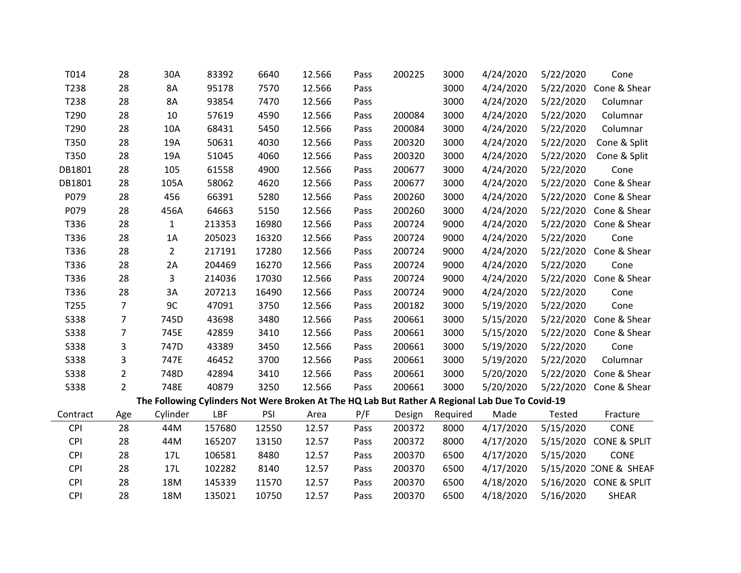| T014        | 28             | 30A                                                                                             | 83392  | 6640  | 12.566 | Pass | 200225 | 3000     | 4/24/2020 | 5/22/2020 | Cone                   |
|-------------|----------------|-------------------------------------------------------------------------------------------------|--------|-------|--------|------|--------|----------|-----------|-----------|------------------------|
| T238        | 28             | 8A                                                                                              | 95178  | 7570  | 12.566 | Pass |        | 3000     | 4/24/2020 | 5/22/2020 | Cone & Shear           |
| T238        | 28             | <b>8A</b>                                                                                       | 93854  | 7470  | 12.566 | Pass |        | 3000     | 4/24/2020 | 5/22/2020 | Columnar               |
| T290        | 28             | 10                                                                                              | 57619  | 4590  | 12.566 | Pass | 200084 | 3000     | 4/24/2020 | 5/22/2020 | Columnar               |
| T290        | 28             | 10A                                                                                             | 68431  | 5450  | 12.566 | Pass | 200084 | 3000     | 4/24/2020 | 5/22/2020 | Columnar               |
| T350        | 28             | 19A                                                                                             | 50631  | 4030  | 12.566 | Pass | 200320 | 3000     | 4/24/2020 | 5/22/2020 | Cone & Split           |
| T350        | 28             | 19A                                                                                             | 51045  | 4060  | 12.566 | Pass | 200320 | 3000     | 4/24/2020 | 5/22/2020 | Cone & Split           |
| DB1801      | 28             | 105                                                                                             | 61558  | 4900  | 12.566 | Pass | 200677 | 3000     | 4/24/2020 | 5/22/2020 | Cone                   |
| DB1801      | 28             | 105A                                                                                            | 58062  | 4620  | 12.566 | Pass | 200677 | 3000     | 4/24/2020 |           | 5/22/2020 Cone & Shear |
| P079        | 28             | 456                                                                                             | 66391  | 5280  | 12.566 | Pass | 200260 | 3000     | 4/24/2020 | 5/22/2020 | Cone & Shear           |
| P079        | 28             | 456A                                                                                            | 64663  | 5150  | 12.566 | Pass | 200260 | 3000     | 4/24/2020 |           | 5/22/2020 Cone & Shear |
| T336        | 28             | $\mathbf{1}$                                                                                    | 213353 | 16980 | 12.566 | Pass | 200724 | 9000     | 4/24/2020 |           | 5/22/2020 Cone & Shear |
| T336        | 28             | 1A                                                                                              | 205023 | 16320 | 12.566 | Pass | 200724 | 9000     | 4/24/2020 | 5/22/2020 | Cone                   |
| T336        | 28             | $2^{\circ}$                                                                                     | 217191 | 17280 | 12.566 | Pass | 200724 | 9000     | 4/24/2020 |           | 5/22/2020 Cone & Shear |
| T336        | 28             | 2A                                                                                              | 204469 | 16270 | 12.566 | Pass | 200724 | 9000     | 4/24/2020 | 5/22/2020 | Cone                   |
| T336        | 28             | 3                                                                                               | 214036 | 17030 | 12.566 | Pass | 200724 | 9000     | 4/24/2020 |           | 5/22/2020 Cone & Shear |
| T336        | 28             | 3A                                                                                              | 207213 | 16490 | 12.566 | Pass | 200724 | 9000     | 4/24/2020 | 5/22/2020 | Cone                   |
| T255        | $\overline{7}$ | 9C                                                                                              | 47091  | 3750  | 12.566 | Pass | 200182 | 3000     | 5/19/2020 | 5/22/2020 | Cone                   |
| <b>S338</b> | $\overline{7}$ | 745D                                                                                            | 43698  | 3480  | 12.566 | Pass | 200661 | 3000     | 5/15/2020 | 5/22/2020 | Cone & Shear           |
| <b>S338</b> | $\overline{7}$ | 745E                                                                                            | 42859  | 3410  | 12.566 | Pass | 200661 | 3000     | 5/15/2020 |           | 5/22/2020 Cone & Shear |
| <b>S338</b> | 3              | 747D                                                                                            | 43389  | 3450  | 12.566 | Pass | 200661 | 3000     | 5/19/2020 | 5/22/2020 | Cone                   |
| <b>S338</b> | 3              | 747E                                                                                            | 46452  | 3700  | 12.566 | Pass | 200661 | 3000     | 5/19/2020 | 5/22/2020 | Columnar               |
| <b>S338</b> | $\overline{2}$ | 748D                                                                                            | 42894  | 3410  | 12.566 | Pass | 200661 | 3000     | 5/20/2020 | 5/22/2020 | Cone & Shear           |
| <b>S338</b> | $\overline{2}$ | 748E                                                                                            | 40879  | 3250  | 12.566 | Pass | 200661 | 3000     | 5/20/2020 |           | 5/22/2020 Cone & Shear |
|             |                | The Following Cylinders Not Were Broken At The HQ Lab But Rather A Regional Lab Due To Covid-19 |        |       |        |      |        |          |           |           |                        |
| Contract    | Age            | Cylinder                                                                                        | LBF    | PSI   | Area   | P/F  | Design | Required | Made      | Tested    | Fracture               |
| <b>CPI</b>  | 28             | 44M                                                                                             | 157680 | 12550 | 12.57  | Pass | 200372 | 8000     | 4/17/2020 | 5/15/2020 | CONE                   |
| <b>CPI</b>  | 28             | 44M                                                                                             | 165207 | 13150 | 12.57  | Pass | 200372 | 8000     | 4/17/2020 |           | 5/15/2020 CONE & SPLIT |
| <b>CPI</b>  | 28             | 17L                                                                                             | 106581 | 8480  | 12.57  | Pass | 200370 | 6500     | 4/17/2020 | 5/15/2020 | CONE                   |
| <b>CPI</b>  | 28             | 17L                                                                                             | 102282 | 8140  | 12.57  | Pass | 200370 | 6500     | 4/17/2020 |           | 5/15/2020 CONE & SHEAF |
| <b>CPI</b>  | 28             | 18M                                                                                             | 145339 | 11570 | 12.57  | Pass | 200370 | 6500     | 4/18/2020 |           | 5/16/2020 CONE & SPLIT |
| CPI         | 28             | 18M                                                                                             | 135021 | 10750 | 12.57  | Pass | 200370 | 6500     | 4/18/2020 | 5/16/2020 | <b>SHEAR</b>           |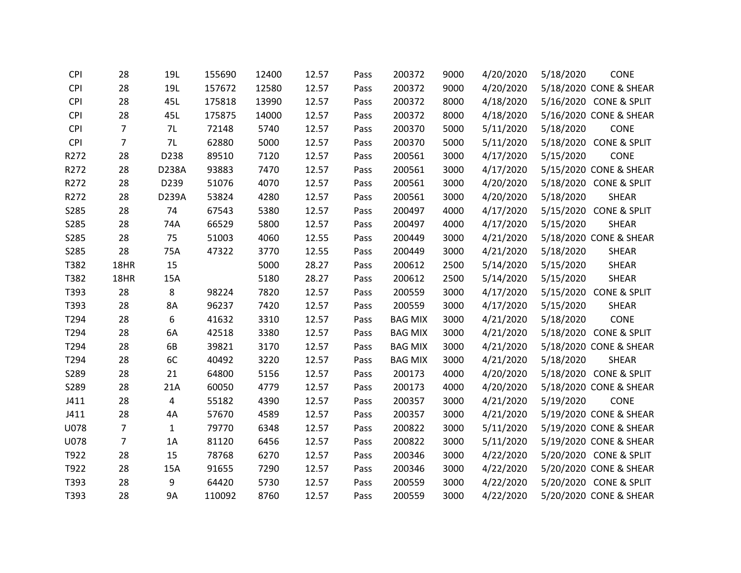| <b>CPI</b> | 28             | 19L          | 155690 | 12400 | 12.57 | Pass | 200372         | 9000 | 4/20/2020 | 5/18/2020<br>CONE                    |
|------------|----------------|--------------|--------|-------|-------|------|----------------|------|-----------|--------------------------------------|
| <b>CPI</b> | 28             | 19L          | 157672 | 12580 | 12.57 | Pass | 200372         | 9000 | 4/20/2020 | 5/18/2020 CONE & SHEAR               |
| <b>CPI</b> | 28             | 45L          | 175818 | 13990 | 12.57 | Pass | 200372         | 8000 | 4/18/2020 | 5/16/2020 CONE & SPLIT               |
| <b>CPI</b> | 28             | 45L          | 175875 | 14000 | 12.57 | Pass | 200372         | 8000 | 4/18/2020 | 5/16/2020 CONE & SHEAR               |
| <b>CPI</b> | $\overline{7}$ | 7L           | 72148  | 5740  | 12.57 | Pass | 200370         | 5000 | 5/11/2020 | 5/18/2020<br>CONE                    |
| <b>CPI</b> | $\overline{7}$ | 7L           | 62880  | 5000  | 12.57 | Pass | 200370         | 5000 | 5/11/2020 | 5/18/2020 CONE & SPLIT               |
| R272       | 28             | D238         | 89510  | 7120  | 12.57 | Pass | 200561         | 3000 | 4/17/2020 | 5/15/2020<br>CONE                    |
| R272       | 28             | D238A        | 93883  | 7470  | 12.57 | Pass | 200561         | 3000 | 4/17/2020 | 5/15/2020 CONE & SHEAR               |
| R272       | 28             | D239         | 51076  | 4070  | 12.57 | Pass | 200561         | 3000 | 4/20/2020 | 5/18/2020 CONE & SPLIT               |
| R272       | 28             | D239A        | 53824  | 4280  | 12.57 | Pass | 200561         | 3000 | 4/20/2020 | 5/18/2020<br><b>SHEAR</b>            |
| S285       | 28             | 74           | 67543  | 5380  | 12.57 | Pass | 200497         | 4000 | 4/17/2020 | 5/15/2020 CONE & SPLIT               |
| S285       | 28             | 74A          | 66529  | 5800  | 12.57 | Pass | 200497         | 4000 | 4/17/2020 | 5/15/2020<br>SHEAR                   |
| S285       | 28             | 75           | 51003  | 4060  | 12.55 | Pass | 200449         | 3000 | 4/21/2020 | 5/18/2020 CONE & SHEAR               |
| S285       | 28             | 75A          | 47322  | 3770  | 12.55 | Pass | 200449         | 3000 | 4/21/2020 | 5/18/2020<br>SHEAR                   |
| T382       | 18HR           | 15           |        | 5000  | 28.27 | Pass | 200612         | 2500 | 5/14/2020 | 5/15/2020<br><b>SHEAR</b>            |
| T382       | 18HR           | 15A          |        | 5180  | 28.27 | Pass | 200612         | 2500 | 5/14/2020 | 5/15/2020<br>SHEAR                   |
| T393       | 28             | 8            | 98224  | 7820  | 12.57 | Pass | 200559         | 3000 | 4/17/2020 | 5/15/2020<br><b>CONE &amp; SPLIT</b> |
| T393       | 28             | 8A           | 96237  | 7420  | 12.57 | Pass | 200559         | 3000 | 4/17/2020 | 5/15/2020<br>SHEAR                   |
| T294       | 28             | 6            | 41632  | 3310  | 12.57 | Pass | <b>BAG MIX</b> | 3000 | 4/21/2020 | 5/18/2020<br>CONE                    |
| T294       | 28             | 6A           | 42518  | 3380  | 12.57 | Pass | <b>BAG MIX</b> | 3000 | 4/21/2020 | 5/18/2020 CONE & SPLIT               |
| T294       | 28             | 6B           | 39821  | 3170  | 12.57 | Pass | <b>BAG MIX</b> | 3000 | 4/21/2020 | 5/18/2020 CONE & SHEAR               |
| T294       | 28             | 6C           | 40492  | 3220  | 12.57 | Pass | <b>BAG MIX</b> | 3000 | 4/21/2020 | 5/18/2020<br><b>SHEAR</b>            |
| S289       | 28             | 21           | 64800  | 5156  | 12.57 | Pass | 200173         | 4000 | 4/20/2020 | 5/18/2020 CONE & SPLIT               |
| S289       | 28             | 21A          | 60050  | 4779  | 12.57 | Pass | 200173         | 4000 | 4/20/2020 | 5/18/2020 CONE & SHEAR               |
| J411       | 28             | 4            | 55182  | 4390  | 12.57 | Pass | 200357         | 3000 | 4/21/2020 | 5/19/2020<br>CONE                    |
| J411       | 28             | 4A           | 57670  | 4589  | 12.57 | Pass | 200357         | 3000 | 4/21/2020 | 5/19/2020 CONE & SHEAR               |
| U078       | $\overline{7}$ | $\mathbf{1}$ | 79770  | 6348  | 12.57 | Pass | 200822         | 3000 | 5/11/2020 | 5/19/2020 CONE & SHEAR               |
| U078       | $\overline{7}$ | 1A           | 81120  | 6456  | 12.57 | Pass | 200822         | 3000 | 5/11/2020 | 5/19/2020 CONE & SHEAR               |
| T922       | 28             | 15           | 78768  | 6270  | 12.57 | Pass | 200346         | 3000 | 4/22/2020 | 5/20/2020 CONE & SPLIT               |
| T922       | 28             | 15A          | 91655  | 7290  | 12.57 | Pass | 200346         | 3000 | 4/22/2020 | 5/20/2020 CONE & SHEAR               |
| T393       | 28             | 9            | 64420  | 5730  | 12.57 | Pass | 200559         | 3000 | 4/22/2020 | 5/20/2020 CONE & SPLIT               |
| T393       | 28             | <b>9A</b>    | 110092 | 8760  | 12.57 | Pass | 200559         | 3000 | 4/22/2020 | 5/20/2020 CONE & SHEAR               |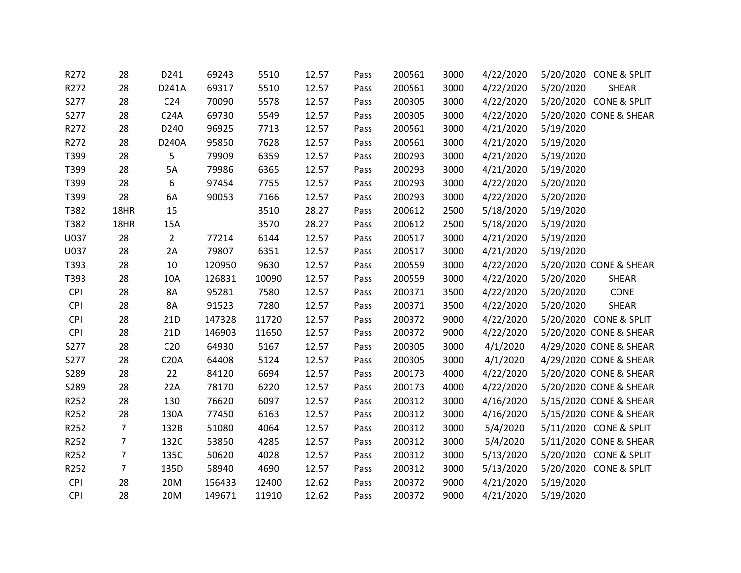| R272       | 28             | D241            | 69243  | 5510  | 12.57 | Pass | 200561 | 3000 | 4/22/2020 | 5/20/2020 CONE & SPLIT |  |
|------------|----------------|-----------------|--------|-------|-------|------|--------|------|-----------|------------------------|--|
| R272       | 28             | D241A           | 69317  | 5510  | 12.57 | Pass | 200561 | 3000 | 4/22/2020 | 5/20/2020<br>SHEAR     |  |
| S277       | 28             | C <sub>24</sub> | 70090  | 5578  | 12.57 | Pass | 200305 | 3000 | 4/22/2020 | 5/20/2020 CONE & SPLIT |  |
| S277       | 28             | C24A            | 69730  | 5549  | 12.57 | Pass | 200305 | 3000 | 4/22/2020 | 5/20/2020 CONE & SHEAR |  |
| R272       | 28             | D240            | 96925  | 7713  | 12.57 | Pass | 200561 | 3000 | 4/21/2020 | 5/19/2020              |  |
| R272       | 28             | D240A           | 95850  | 7628  | 12.57 | Pass | 200561 | 3000 | 4/21/2020 | 5/19/2020              |  |
| T399       | 28             | 5               | 79909  | 6359  | 12.57 | Pass | 200293 | 3000 | 4/21/2020 | 5/19/2020              |  |
| T399       | 28             | 5A              | 79986  | 6365  | 12.57 | Pass | 200293 | 3000 | 4/21/2020 | 5/19/2020              |  |
| T399       | 28             | 6               | 97454  | 7755  | 12.57 | Pass | 200293 | 3000 | 4/22/2020 | 5/20/2020              |  |
| T399       | 28             | 6A              | 90053  | 7166  | 12.57 | Pass | 200293 | 3000 | 4/22/2020 | 5/20/2020              |  |
| T382       | 18HR           | 15              |        | 3510  | 28.27 | Pass | 200612 | 2500 | 5/18/2020 | 5/19/2020              |  |
| T382       | 18HR           | 15A             |        | 3570  | 28.27 | Pass | 200612 | 2500 | 5/18/2020 | 5/19/2020              |  |
| U037       | 28             | $\overline{2}$  | 77214  | 6144  | 12.57 | Pass | 200517 | 3000 | 4/21/2020 | 5/19/2020              |  |
| U037       | 28             | 2A              | 79807  | 6351  | 12.57 | Pass | 200517 | 3000 | 4/21/2020 | 5/19/2020              |  |
| T393       | 28             | 10              | 120950 | 9630  | 12.57 | Pass | 200559 | 3000 | 4/22/2020 | 5/20/2020 CONE & SHEAR |  |
| T393       | 28             | 10A             | 126831 | 10090 | 12.57 | Pass | 200559 | 3000 | 4/22/2020 | 5/20/2020<br>SHEAR     |  |
| CPI        | 28             | <b>8A</b>       | 95281  | 7580  | 12.57 | Pass | 200371 | 3500 | 4/22/2020 | CONE<br>5/20/2020      |  |
| <b>CPI</b> | 28             | 8A              | 91523  | 7280  | 12.57 | Pass | 200371 | 3500 | 4/22/2020 | 5/20/2020<br>SHEAR     |  |
| CPI        | 28             | 21D             | 147328 | 11720 | 12.57 | Pass | 200372 | 9000 | 4/22/2020 | 5/20/2020 CONE & SPLIT |  |
| CPI        | 28             | 21D             | 146903 | 11650 | 12.57 | Pass | 200372 | 9000 | 4/22/2020 | 5/20/2020 CONE & SHEAR |  |
| S277       | 28             | C <sub>20</sub> | 64930  | 5167  | 12.57 | Pass | 200305 | 3000 | 4/1/2020  | 4/29/2020 CONE & SHEAR |  |
| S277       | 28             | <b>C20A</b>     | 64408  | 5124  | 12.57 | Pass | 200305 | 3000 | 4/1/2020  | 4/29/2020 CONE & SHEAR |  |
| S289       | 28             | 22              | 84120  | 6694  | 12.57 | Pass | 200173 | 4000 | 4/22/2020 | 5/20/2020 CONE & SHEAR |  |
| S289       | 28             | 22A             | 78170  | 6220  | 12.57 | Pass | 200173 | 4000 | 4/22/2020 | 5/20/2020 CONE & SHEAR |  |
| R252       | 28             | 130             | 76620  | 6097  | 12.57 | Pass | 200312 | 3000 | 4/16/2020 | 5/15/2020 CONE & SHEAR |  |
| R252       | 28             | 130A            | 77450  | 6163  | 12.57 | Pass | 200312 | 3000 | 4/16/2020 | 5/15/2020 CONE & SHEAR |  |
| R252       | $\overline{7}$ | 132B            | 51080  | 4064  | 12.57 | Pass | 200312 | 3000 | 5/4/2020  | 5/11/2020 CONE & SPLIT |  |
| R252       | $\overline{7}$ | 132C            | 53850  | 4285  | 12.57 | Pass | 200312 | 3000 | 5/4/2020  | 5/11/2020 CONE & SHEAR |  |
| R252       | $\overline{7}$ | 135C            | 50620  | 4028  | 12.57 | Pass | 200312 | 3000 | 5/13/2020 | 5/20/2020 CONE & SPLIT |  |
| R252       | $\overline{7}$ | 135D            | 58940  | 4690  | 12.57 | Pass | 200312 | 3000 | 5/13/2020 | 5/20/2020 CONE & SPLIT |  |
| CPI        | 28             | 20M             | 156433 | 12400 | 12.62 | Pass | 200372 | 9000 | 4/21/2020 | 5/19/2020              |  |
| <b>CPI</b> | 28             | 20M             | 149671 | 11910 | 12.62 | Pass | 200372 | 9000 | 4/21/2020 | 5/19/2020              |  |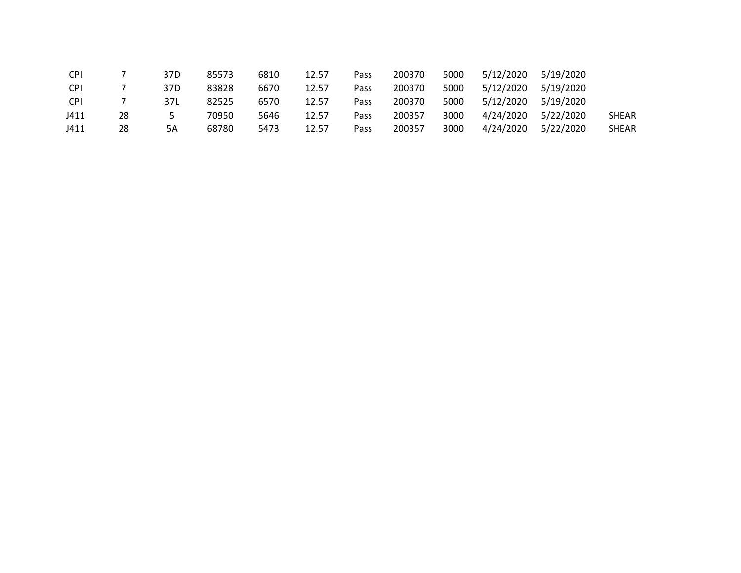| <b>CPI</b> |    | 37D | 85573 | 6810 | 12.57 | Pass | 200370 | 5000 | 5/12/2020 | 5/19/2020 |              |
|------------|----|-----|-------|------|-------|------|--------|------|-----------|-----------|--------------|
| <b>CPI</b> |    | 37D | 83828 | 6670 | 12.57 | Pass | 200370 | 5000 | 5/12/2020 | 5/19/2020 |              |
| <b>CPI</b> |    | 37L | 82525 | 6570 | 12.57 | Pass | 200370 | 5000 | 5/12/2020 | 5/19/2020 |              |
| J411       | 28 |     | 70950 | 5646 | 12.57 | Pass | 200357 | 3000 | 4/24/2020 | 5/22/2020 | <b>SHEAR</b> |
| J411       | 28 | 5A  | 68780 | 5473 | 12.57 | Pass | 200357 | 3000 | 4/24/2020 | 5/22/2020 | <b>SHEAR</b> |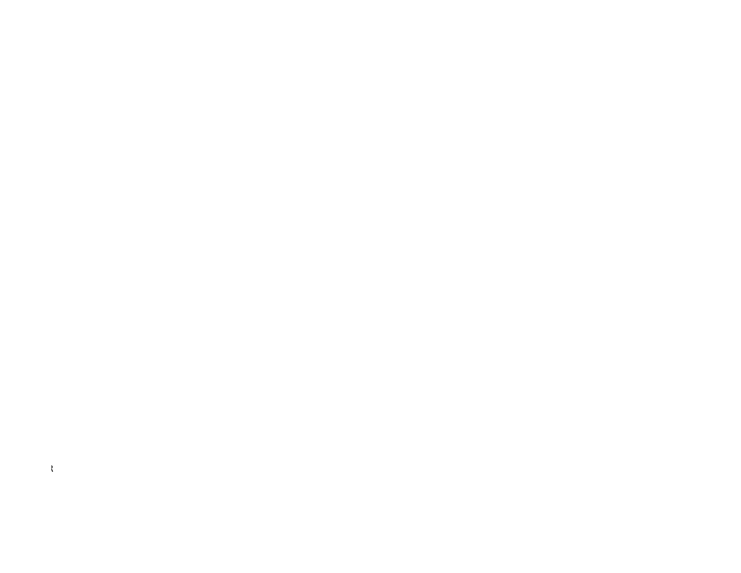$\chi$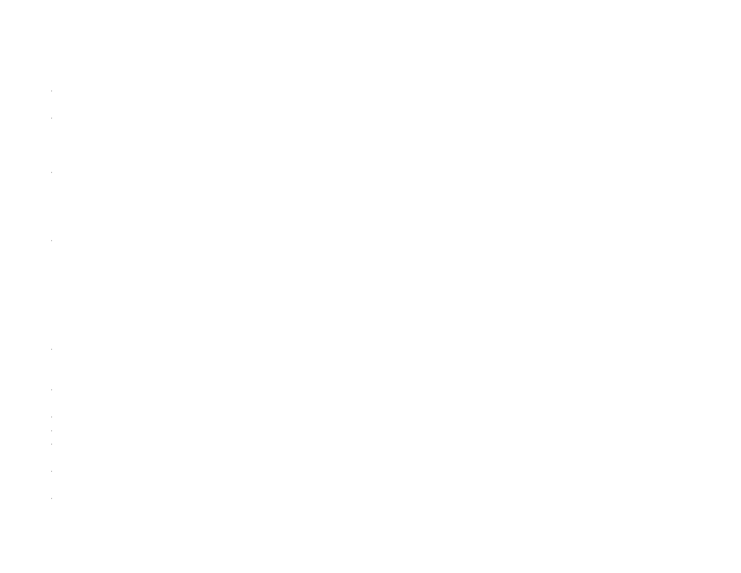CONE & SHEAR CONE & SHEAR CONE A REPORT OF SHEARING CONE & SHEAR  $\mathcal{C}=\{1,2,\ldots, n\}$  $\mathcal{C}^{\text{max}}_{\text{max}}$ CONE & SHEAR CONE & SHEAR CONE & SHEAR

 $\mathcal{L}^{\text{max}}_{\text{max}}$  $\mathcal{L}^{\text{max}}$